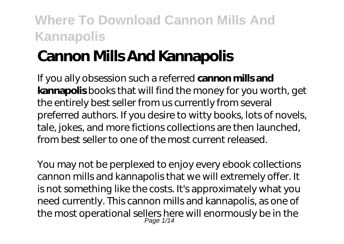# **Cannon Mills And Kannapolis**

If you ally obsession such a referred **cannon mills and kannapolis** books that will find the money for you worth, get the entirely best seller from us currently from several preferred authors. If you desire to witty books, lots of novels, tale, jokes, and more fictions collections are then launched, from best seller to one of the most current released.

You may not be perplexed to enjoy every ebook collections cannon mills and kannapolis that we will extremely offer. It is not something like the costs. It's approximately what you need currently. This cannon mills and kannapolis, as one of the most operational sellers here will enormously be in the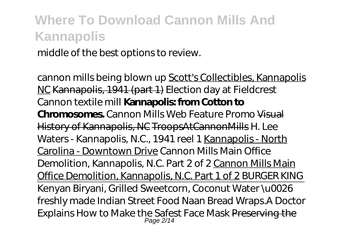middle of the best options to review.

cannon mills being blown up Scott's Collectibles, Kannapolis NC Kannapolis, 1941 (part 1) *Election day at Fieldcrest Cannon textile mill* **Kannapolis: from Cotton to Chromosomes.** *Cannon Mills Web Feature Promo* Visual History of Kannapolis, NC TroopsAtCannonMills *H. Lee Waters - Kannapolis, N.C., 1941 reel 1* Kannapolis - North Carolina - Downtown Drive *Cannon Mills Main Office Demolition, Kannapolis, N.C. Part 2 of 2* Cannon Mills Main Office Demolition, Kannapolis, N.C. Part 1 of 2 *BURGER KING* Kenyan Biryani, Grilled Sweetcorn, Coconut Water \u0026 freshly made Indian Street Food Naan Bread Wraps.*A Doctor Explains How to Make the Safest Face Mask* Preserving the Page 2/14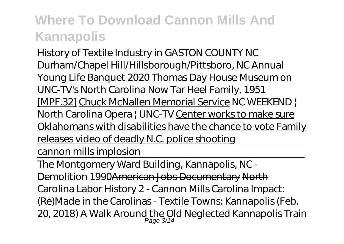History of Textile Industry in GASTON COUNTY NC Durham/Chapel Hill/Hillsborough/Pittsboro, NC Annual Young Life Banquet 2020 *Thomas Day House Museum on UNC-TV's North Carolina Now* Tar Heel Family, 1951 [MPF.32] Chuck McNallen Memorial Service NC WEEKEND | North Carolina Opera | UNC-TV Center works to make sure Oklahomans with disabilities have the chance to vote Family releases video of deadly N.C. police shooting

cannon mills implosion

The Montgomery Ward Building, Kannapolis, NC - Demolition 1990American Jobs Documentary North Carolina Labor History 2 - Cannon Mills *Carolina Impact: (Re)Made in the Carolinas - Textile Towns: Kannapolis (Feb. 20, 2018) A Walk Around the Old Neglected Kannapolis Train* Page 3/14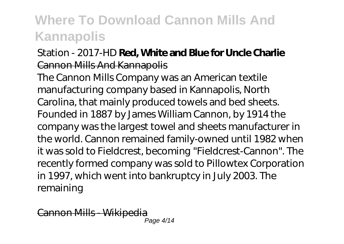#### *Station - 2017-HD Red, White and Blue for Unde Charlie* Cannon Mills And Kannapolis

The Cannon Mills Company was an American textile manufacturing company based in Kannapolis, North Carolina, that mainly produced towels and bed sheets. Founded in 1887 by James William Cannon, by 1914 the company was the largest towel and sheets manufacturer in the world. Cannon remained family-owned until 1982 when it was sold to Fieldcrest, becoming "Fieldcrest-Cannon". The recently formed company was sold to Pillowtex Corporation in 1997, which went into bankruptcy in July 2003. The remaining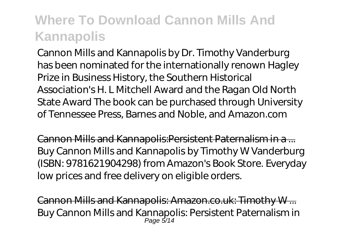Cannon Mills and Kannapolis by Dr. Timothy Vanderburg has been nominated for the internationally renown Hagley Prize in Business History, the Southern Historical Association's H. L Mitchell Award and the Ragan Old North State Award The book can be purchased through University of Tennessee Press, Barnes and Noble, and Amazon.com

Cannon Mills and Kannapolis:Persistent Paternalism in a ... Buy Cannon Mills and Kannapolis by Timothy W Vanderburg (ISBN: 9781621904298) from Amazon's Book Store. Everyday low prices and free delivery on eligible orders.

Cannon Mills and Kannapolis: Amazon.co.uk: Timothy W ... Buy Cannon Mills and Kannapolis: Persistent Paternalism in Page 5/14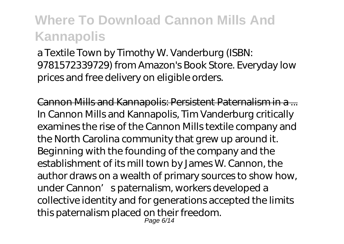a Textile Town by Timothy W. Vanderburg (ISBN: 9781572339729) from Amazon's Book Store. Everyday low prices and free delivery on eligible orders.

Cannon Mills and Kannapolis: Persistent Paternalism in a ... In Cannon Mills and Kannapolis, Tim Vanderburg critically examines the rise of the Cannon Mills textile company and the North Carolina community that grew up around it. Beginning with the founding of the company and the establishment of its mill town by James W. Cannon, the author draws on a wealth of primary sources to show how, under Cannon's paternalism, workers developed a collective identity and for generations accepted the limits this paternalism placed on their freedom.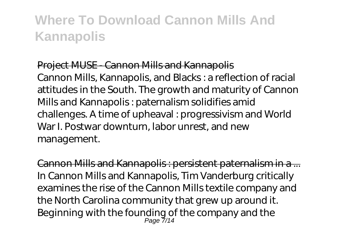#### Project MUSE - Cannon Mills and Kannapolis

Cannon Mills, Kannapolis, and Blacks : a reflection of racial attitudes in the South. The growth and maturity of Cannon Mills and Kannapolis : paternalism solidifies amid challenges. A time of upheaval : progressivism and World War I. Postwar downturn, labor unrest, and new management.

Cannon Mills and Kannapolis : persistent paternalism in a ... In Cannon Mills and Kannapolis, Tim Vanderburg critically examines the rise of the Cannon Mills textile company and the North Carolina community that grew up around it. Beginning with the founding of the company and the Page 7/14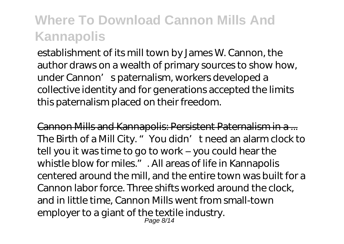establishment of its mill town by James W. Cannon, the author draws on a wealth of primary sources to show how, under Cannon' spaternalism, workers developed a collective identity and for generations accepted the limits this paternalism placed on their freedom.

Cannon Mills and Kannapolis: Persistent Paternalism in a ... The Birth of a Mill City. "You didn' t need an alarm clock to tell you it was time to go to work – you could hear the whistle blow for miles.". All areas of life in Kannapolis centered around the mill, and the entire town was built for a Cannon labor force. Three shifts worked around the clock, and in little time, Cannon Mills went from small-town employer to a giant of the textile industry. Page 8/14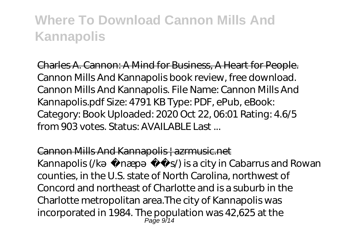Charles A. Cannon: A Mind for Business, A Heart for People. Cannon Mills And Kannapolis book review, free download. Cannon Mills And Kannapolis. File Name: Cannon Mills And Kannapolis.pdf Size: 4791 KB Type: PDF, ePub, eBook: Category: Book Uploaded: 2020 Oct 22, 06:01 Rating: 4.6/5 from 903 votes. Status: AVAII ABLE Last...

Cannon Mills And Kannapolis | azrmusic.net

Kannapolis ( $/k$  næp $s$ ) is a city in Cabarrus and Rowan counties, in the U.S. state of North Carolina, northwest of Concord and northeast of Charlotte and is a suburb in the Charlotte metropolitan area.The city of Kannapolis was incorporated in 1984. The population was 42,625 at the Page 9/14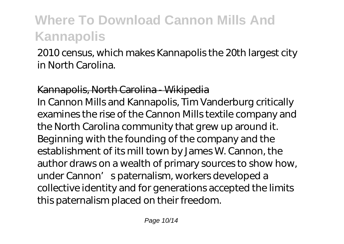2010 census, which makes Kannapolis the 20th largest city in North Carolina.

Kannapolis, North Carolina - Wikipedia In Cannon Mills and Kannapolis, Tim Vanderburg critically examines the rise of the Cannon Mills textile company and the North Carolina community that grew up around it. Beginning with the founding of the company and the establishment of its mill town by James W. Cannon, the author draws on a wealth of primary sources to show how, under Cannon's paternalism, workers developed a collective identity and for generations accepted the limits this paternalism placed on their freedom.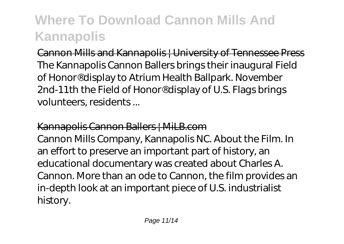Cannon Mills and Kannapolis | University of Tennessee Press The Kannapolis Cannon Ballers brings their inaugural Field of Honor® display to Atrium Health Ballpark. November 2nd-11th the Field of Honor® display of U.S. Flags brings volunteers, residents ...

#### Kannapolis Cannon Ballers | MiLB.com

Cannon Mills Company, Kannapolis NC. About the Film. In an effort to preserve an important part of history, an educational documentary was created about Charles A. Cannon. More than an ode to Cannon, the film provides an in-depth look at an important piece of U.S. industrialist history.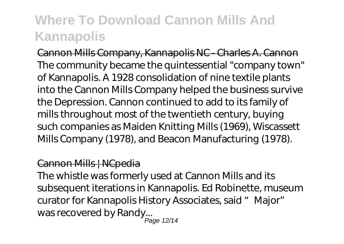Cannon Mills Company, Kannapolis NC - Charles A. Cannon The community became the quintessential "company town" of Kannapolis. A 1928 consolidation of nine textile plants into the Cannon Mills Company helped the business survive the Depression. Cannon continued to add to its family of mills throughout most of the twentieth century, buying such companies as Maiden Knitting Mills (1969), Wiscassett Mills Company (1978), and Beacon Manufacturing (1978).

#### Cannon Mills | NCpedia

The whistle was formerly used at Cannon Mills and its subsequent iterations in Kannapolis. Ed Robinette, museum curator for Kannapolis History Associates, said "Major" was recovered by Randy...

Page 12/14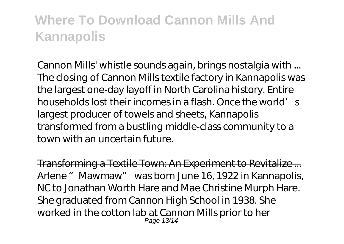Cannon Mills' whistle sounds again, brings nostalgia with ... The closing of Cannon Mills textile factory in Kannapolis was the largest one-day layoff in North Carolina history. Entire households lost their incomes in a flash. Once the world's largest producer of towels and sheets, Kannapolis transformed from a bustling middle-class community to a town with an uncertain future.

Transforming a Textile Town: An Experiment to Revitalize ... Arlene "Mawmaw" was born June 16, 1922 in Kannapolis, NC to Jonathan Worth Hare and Mae Christine Murph Hare. She graduated from Cannon High School in 1938. She worked in the cotton lab at Cannon Mills prior to her Page 13/14